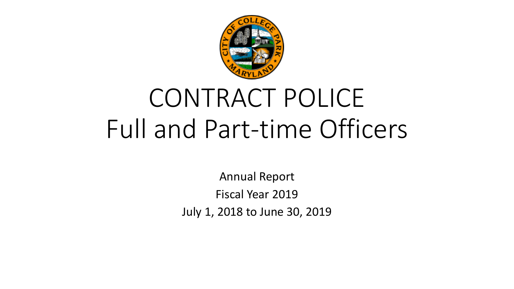

# CONTRACT POLICE Full and Part-time Officers

Annual Report Fiscal Year 2019 July 1, 2018 to June 30, 2019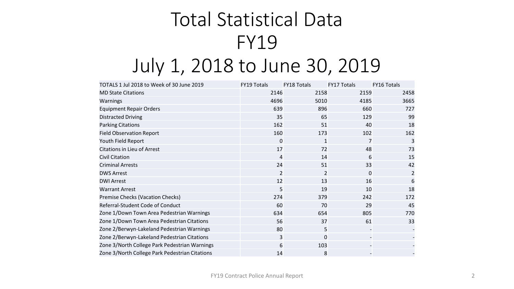# Total Statistical Data FY19 July 1, 2018 to June 30, 2019

| TOTALS 1 Jul 2018 to Week of 30 June 2019      | <b>FY19 Totals</b> | <b>FY18 Totals</b> | <b>FY17 Totals</b> | <b>FY16 Totals</b> |
|------------------------------------------------|--------------------|--------------------|--------------------|--------------------|
| <b>MD State Citations</b>                      | 2146               | 2158               | 2159               | 2458               |
| Warnings                                       | 4696               | 5010               | 4185               | 3665               |
| <b>Equipment Repair Orders</b>                 | 639                | 896                | 660                | 727                |
| <b>Distracted Driving</b>                      | 35                 | 65                 | 129                | 99                 |
| <b>Parking Citations</b>                       | 162                | 51                 | 40                 | 18                 |
| <b>Field Observation Report</b>                | 160                | 173                | 102                | 162                |
| Youth Field Report                             | $\mathbf 0$        | 1                  | 7                  | 3                  |
| <b>Citations in Lieu of Arrest</b>             | 17                 | 72                 | 48                 | 73                 |
| Civil Citation                                 | 4                  | 14                 | 6                  | 15                 |
| <b>Criminal Arrests</b>                        | 24                 | 51                 | 33                 | 42                 |
| <b>DWS Arrest</b>                              | 2                  | 2                  | $\Omega$           | 2                  |
| <b>DWI Arrest</b>                              | 12                 | 13                 | 16                 | 6                  |
| <b>Warrant Arrest</b>                          | 5                  | 19                 | 10                 | 18                 |
| <b>Premise Checks (Vacation Checks)</b>        | 274                | 379                | 242                | 172                |
| Referral-Student Code of Conduct               | 60                 | 70                 | 29                 | 45                 |
| Zone 1/Down Town Area Pedestrian Warnings      | 634                | 654                | 805                | 770                |
| Zone 1/Down Town Area Pedestrian Citations     | 56                 | 37                 | 61                 | 33                 |
| Zone 2/Berwyn-Lakeland Pedestrian Warnings     | 80                 | 5                  |                    |                    |
| Zone 2/Berwyn-Lakeland Pedestrian Citations    | 3                  | 0                  |                    |                    |
| Zone 3/North College Park Pedestrian Warnings  | 6                  | 103                |                    |                    |
| Zone 3/North College Park Pedestrian Citations | 14                 | 8                  |                    |                    |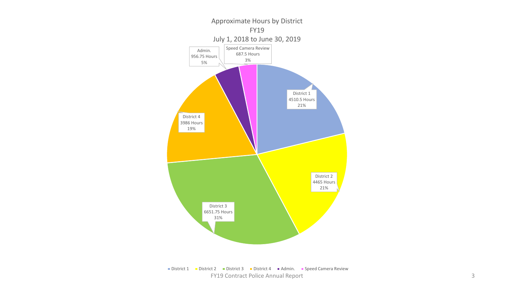

FY19 Contract Police Annual Report 3 ■ District 1 **District 2** District 3 **District 4 Madmin.** ■ Speed Camera Review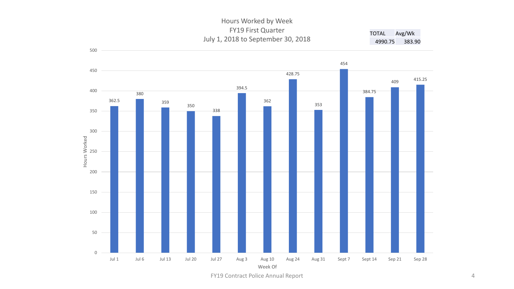#### Hours Worked by Week FY19 First Quarter July 1, 2018 to September 30, 2018 TOTAL Avg/Wk 4990.75 383.90



FY19 Contract Police Annual Report 4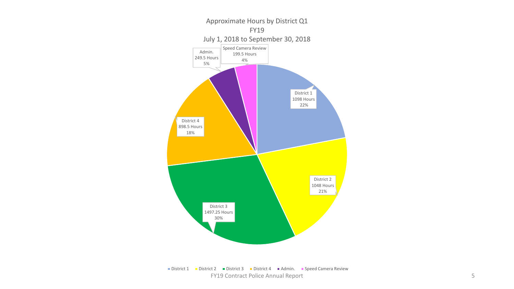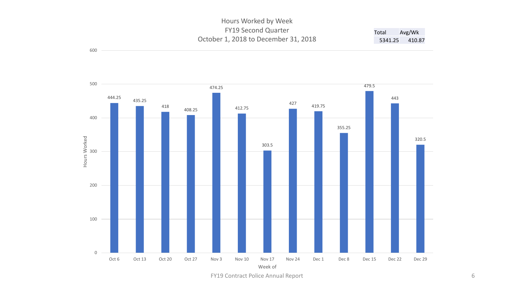#### Hours Worked by Week FY19 Second Quarter October 1, 2018 to December 31, 2018 Total Avg/Wk 5341.25 410.87



600

FY19 Contract Police Annual Report 6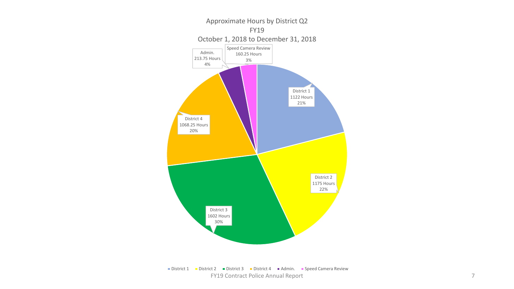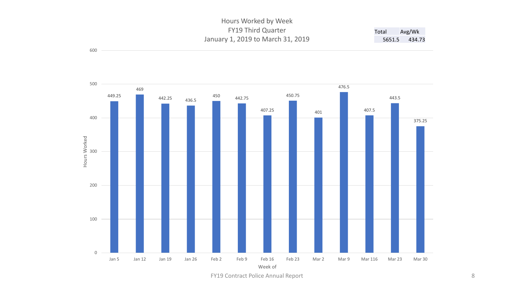#### Hours Worked by Week FY19 Third Quarter January 1, 2019 to March 31, 2019 Total Avg/Wk 5651.5 434.73



600

FY19 Contract Police Annual Report 8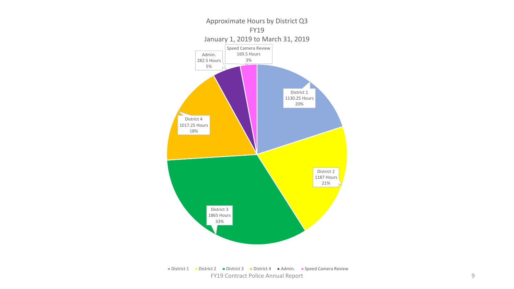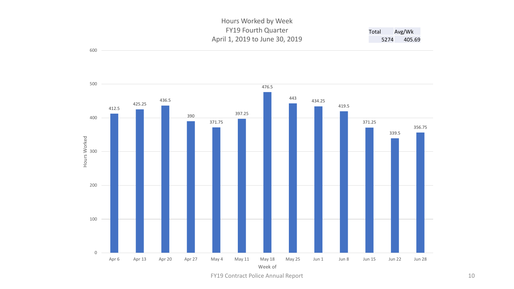#### Hours Worked by Week FY19 Fourth Quarter April 1, 2019 to June 30, 2019 Total Avg/Wk 5274 405.69



600

FY19 Contract Police Annual Report 10 and 10 and 10 and 10 and 10 and 10 and 10 and 10 and 10 and 10 and 10 and 10 and 10 and 10 and 10 and 10 and 10 and 10 and 10 and 10 and 10 and 10 and 10 and 10 and 10 and 10 and 10 an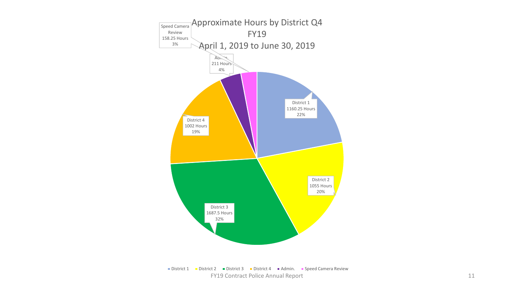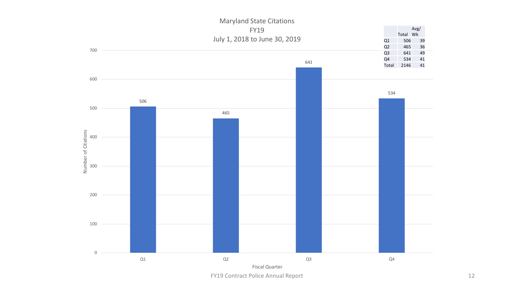

FY19 Contract Police Annual Report 12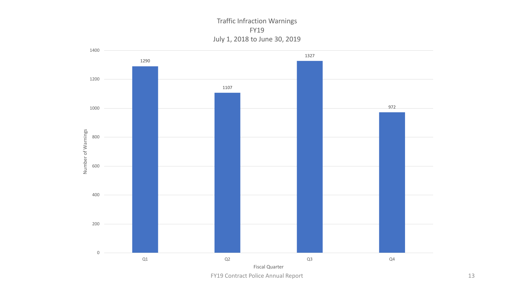Traffic Infraction Warnings FY19 July 1, 2018 to June 30, 2019



FY19 Contract Police Annual Report 13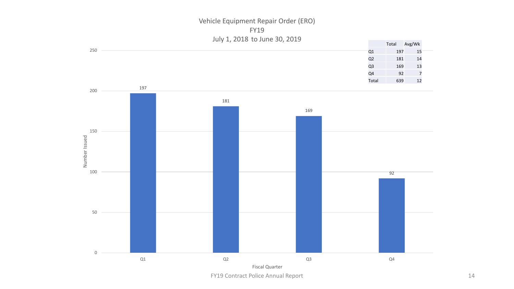Vehicle Equipment Repair Order (ERO) FY19 July 1, 2018 to June 30, 2019



FY19 Contract Police Annual Report 14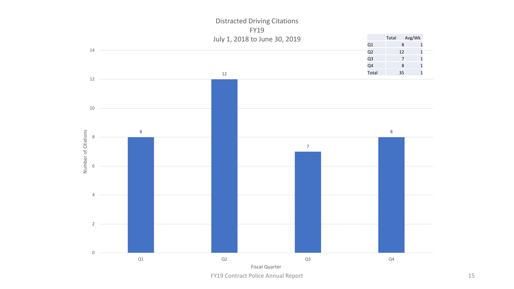

FY19 Contract Police Annual Report 15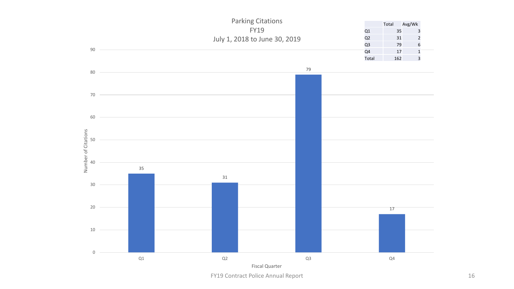

FY19 Contract Police Annual Report 16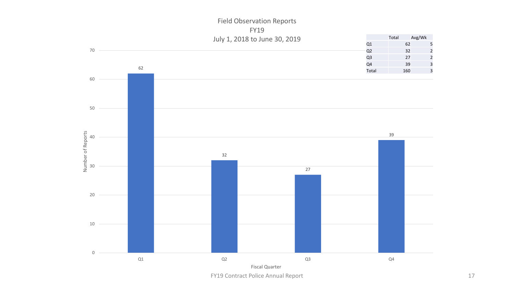## Field Observation Reports FY19



FY19 Contract Police Annual Report 17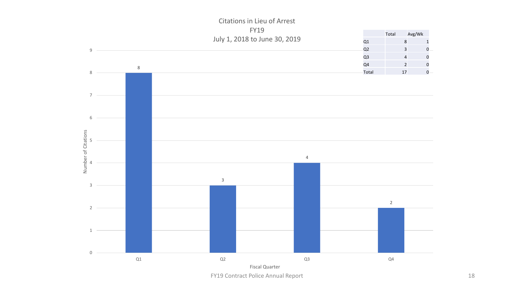

Citations in Lieu of Arrest

FY19 Contract Police Annual Report 18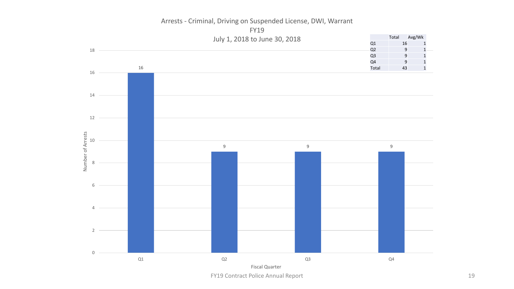

Arrests - Criminal, Driving on Suspended License, DWI, Warrant

FY19 Contract Police Annual Report 19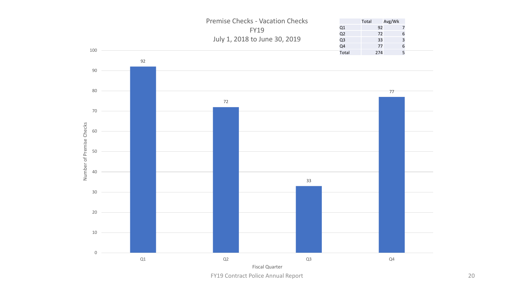

FY19 Contract Police Annual Report 20 and 20 and 20 and 20 and 20 and 20 and 20 and 20 and 20 and 20 and 20 and 20 and 20 and 20 and 20 and 20 and 20 and 20 and 20 and 20 and 20 and 20 and 20 and 20 and 20 and 20 and 20 an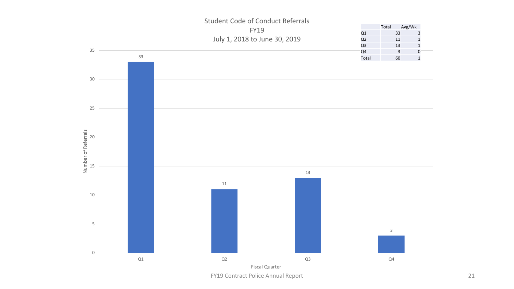

FY19 Contract Police Annual Report 21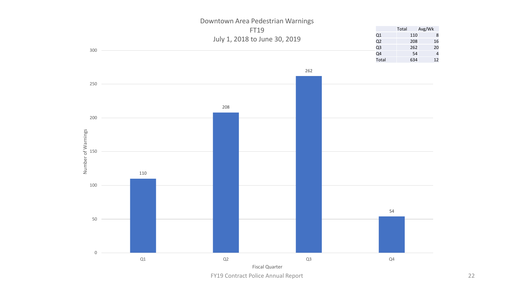

### Downtown Area Pedestrian Warnings

FY19 Contract Police Annual Report 22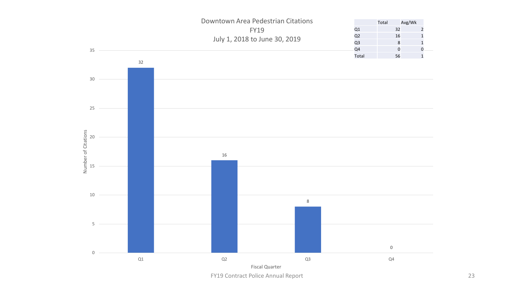

FY19 Contract Police Annual Report 23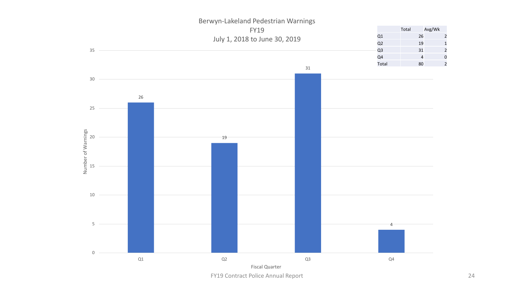

Berwyn-Lakeland Pedestrian Warnings

FY19 Contract Police Annual Report 24